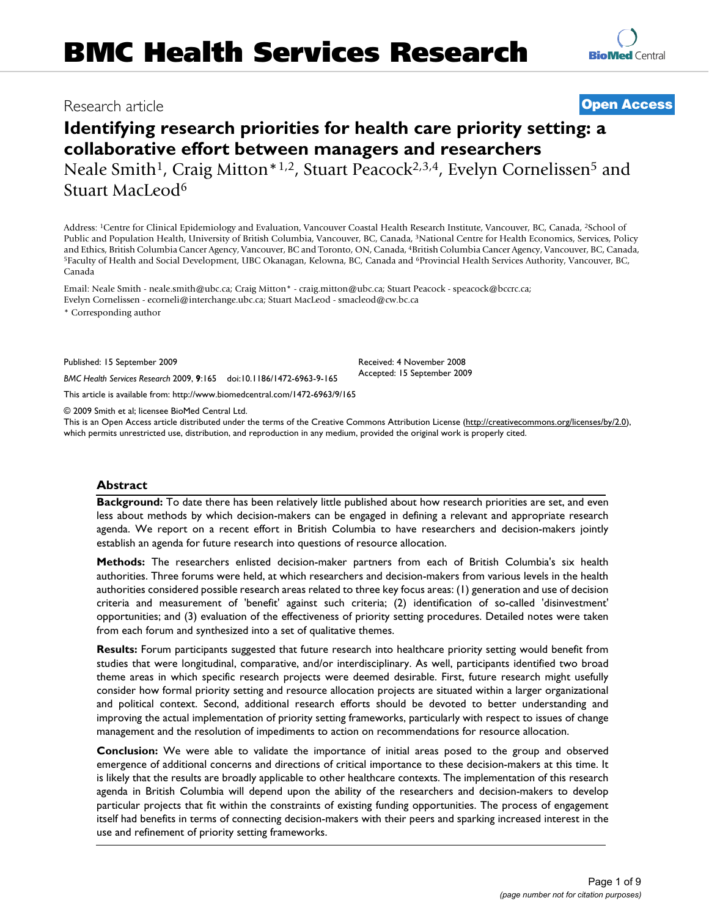# Research article **[Open Access](http://www.biomedcentral.com/info/about/charter/)**

# **Identifying research priorities for health care priority setting: a collaborative effort between managers and researchers**

Neale Smith<sup>1</sup>, Craig Mitton<sup>\*1,2</sup>, Stuart Peacock<sup>2,3,4</sup>, Evelyn Cornelissen<sup>5</sup> and Stuart MacLeod6

Address: 1Centre for Clinical Epidemiology and Evaluation, Vancouver Coastal Health Research Institute, Vancouver, BC, Canada, 2School of Public and Population Health, University of British Columbia, Vancouver, BC, Canada, 3National Centre for Health Economics, Services, Policy and Ethics, British Columbia Cancer Agency, Vancouver, BC and Toronto, ON, Canada, <sup>4</sup>British Columbia Cancer Agency, Vancouver, BC, Canada, <sup>5</sup>Faculty of Health and Social Development, UBC Okanagan, Kelowna, BC, Canada an Canada

Email: Neale Smith - neale.smith@ubc.ca; Craig Mitton\* - craig.mitton@ubc.ca; Stuart Peacock - speacock@bccrc.ca; Evelyn Cornelissen - ecorneli@interchange.ubc.ca; Stuart MacLeod - smacleod@cw.bc.ca

\* Corresponding author

Published: 15 September 2009

*BMC Health Services Research* 2009, **9**:165 doi:10.1186/1472-6963-9-165

[This article is available from: http://www.biomedcentral.com/1472-6963/9/165](http://www.biomedcentral.com/1472-6963/9/165)

© 2009 Smith et al; licensee BioMed Central Ltd.

This is an Open Access article distributed under the terms of the Creative Commons Attribution License [\(http://creativecommons.org/licenses/by/2.0\)](http://creativecommons.org/licenses/by/2.0), which permits unrestricted use, distribution, and reproduction in any medium, provided the original work is properly cited.

#### **Abstract**

**Background:** To date there has been relatively little published about how research priorities are set, and even less about methods by which decision-makers can be engaged in defining a relevant and appropriate research agenda. We report on a recent effort in British Columbia to have researchers and decision-makers jointly establish an agenda for future research into questions of resource allocation.

**Methods:** The researchers enlisted decision-maker partners from each of British Columbia's six health authorities. Three forums were held, at which researchers and decision-makers from various levels in the health authorities considered possible research areas related to three key focus areas: (1) generation and use of decision criteria and measurement of 'benefit' against such criteria; (2) identification of so-called 'disinvestment' opportunities; and (3) evaluation of the effectiveness of priority setting procedures. Detailed notes were taken from each forum and synthesized into a set of qualitative themes.

**Results:** Forum participants suggested that future research into healthcare priority setting would benefit from studies that were longitudinal, comparative, and/or interdisciplinary. As well, participants identified two broad theme areas in which specific research projects were deemed desirable. First, future research might usefully consider how formal priority setting and resource allocation projects are situated within a larger organizational and political context. Second, additional research efforts should be devoted to better understanding and improving the actual implementation of priority setting frameworks, particularly with respect to issues of change management and the resolution of impediments to action on recommendations for resource allocation.

**Conclusion:** We were able to validate the importance of initial areas posed to the group and observed emergence of additional concerns and directions of critical importance to these decision-makers at this time. It is likely that the results are broadly applicable to other healthcare contexts. The implementation of this research agenda in British Columbia will depend upon the ability of the researchers and decision-makers to develop particular projects that fit within the constraints of existing funding opportunities. The process of engagement itself had benefits in terms of connecting decision-makers with their peers and sparking increased interest in the use and refinement of priority setting frameworks.

Received: 4 November 2008 Accepted: 15 September 2009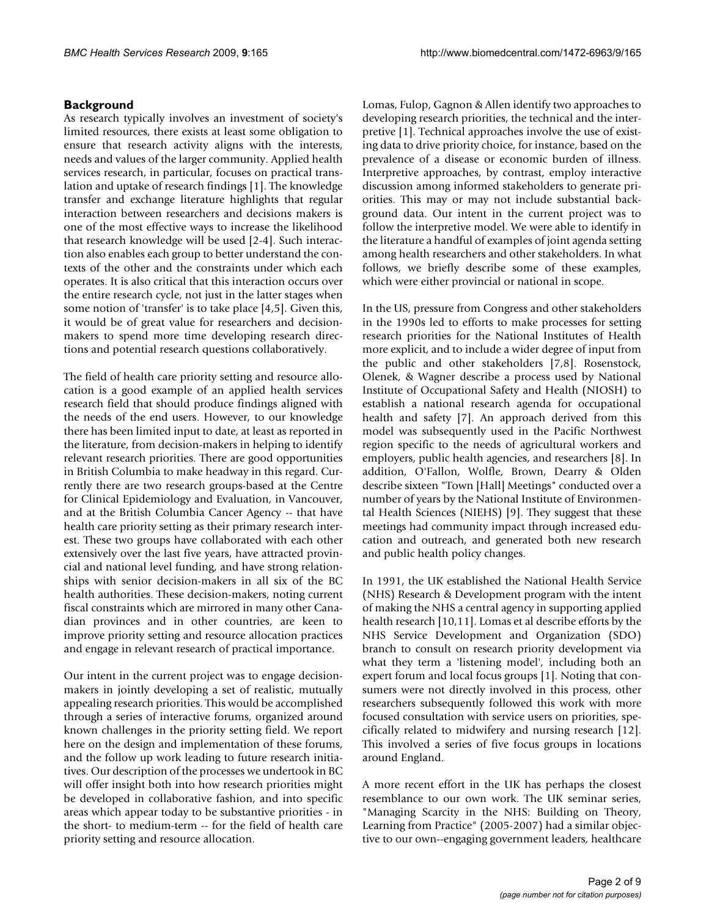#### **Background**

As research typically involves an investment of society's limited resources, there exists at least some obligation to ensure that research activity aligns with the interests, needs and values of the larger community. Applied health services research, in particular, focuses on practical translation and uptake of research findings [1]. The knowledge transfer and exchange literature highlights that regular interaction between researchers and decisions makers is one of the most effective ways to increase the likelihood that research knowledge will be used [2-4]. Such interaction also enables each group to better understand the contexts of the other and the constraints under which each operates. It is also critical that this interaction occurs over the entire research cycle, not just in the latter stages when some notion of 'transfer' is to take place [4,5]. Given this, it would be of great value for researchers and decisionmakers to spend more time developing research directions and potential research questions collaboratively.

The field of health care priority setting and resource allocation is a good example of an applied health services research field that should produce findings aligned with the needs of the end users. However, to our knowledge there has been limited input to date, at least as reported in the literature, from decision-makers in helping to identify relevant research priorities. There are good opportunities in British Columbia to make headway in this regard. Currently there are two research groups-based at the Centre for Clinical Epidemiology and Evaluation, in Vancouver, and at the British Columbia Cancer Agency -- that have health care priority setting as their primary research interest. These two groups have collaborated with each other extensively over the last five years, have attracted provincial and national level funding, and have strong relationships with senior decision-makers in all six of the BC health authorities. These decision-makers, noting current fiscal constraints which are mirrored in many other Canadian provinces and in other countries, are keen to improve priority setting and resource allocation practices and engage in relevant research of practical importance.

Our intent in the current project was to engage decisionmakers in jointly developing a set of realistic, mutually appealing research priorities. This would be accomplished through a series of interactive forums, organized around known challenges in the priority setting field. We report here on the design and implementation of these forums, and the follow up work leading to future research initiatives. Our description of the processes we undertook in BC will offer insight both into how research priorities might be developed in collaborative fashion, and into specific areas which appear today to be substantive priorities - in the short- to medium-term -- for the field of health care priority setting and resource allocation.

Lomas, Fulop, Gagnon & Allen identify two approaches to developing research priorities, the technical and the interpretive [1]. Technical approaches involve the use of existing data to drive priority choice, for instance, based on the prevalence of a disease or economic burden of illness. Interpretive approaches, by contrast, employ interactive discussion among informed stakeholders to generate priorities. This may or may not include substantial background data. Our intent in the current project was to follow the interpretive model. We were able to identify in the literature a handful of examples of joint agenda setting among health researchers and other stakeholders. In what follows, we briefly describe some of these examples, which were either provincial or national in scope.

In the US, pressure from Congress and other stakeholders in the 1990s led to efforts to make processes for setting research priorities for the National Institutes of Health more explicit, and to include a wider degree of input from the public and other stakeholders [7,8]. Rosenstock, Olenek, & Wagner describe a process used by National Institute of Occupational Safety and Health (NIOSH) to establish a national research agenda for occupational health and safety [7]. An approach derived from this model was subsequently used in the Pacific Northwest region specific to the needs of agricultural workers and employers, public health agencies, and researchers [8]. In addition, O'Fallon, Wolfle, Brown, Dearry & Olden describe sixteen "Town [Hall] Meetings" conducted over a number of years by the National Institute of Environmental Health Sciences (NIEHS) [9]. They suggest that these meetings had community impact through increased education and outreach, and generated both new research and public health policy changes.

In 1991, the UK established the National Health Service (NHS) Research & Development program with the intent of making the NHS a central agency in supporting applied health research [10,11]. Lomas et al describe efforts by the NHS Service Development and Organization (SDO) branch to consult on research priority development via what they term a 'listening model', including both an expert forum and local focus groups [1]. Noting that consumers were not directly involved in this process, other researchers subsequently followed this work with more focused consultation with service users on priorities, specifically related to midwifery and nursing research [12]. This involved a series of five focus groups in locations around England.

A more recent effort in the UK has perhaps the closest resemblance to our own work. The UK seminar series, "Managing Scarcity in the NHS: Building on Theory, Learning from Practice" (2005-2007) had a similar objective to our own--engaging government leaders, healthcare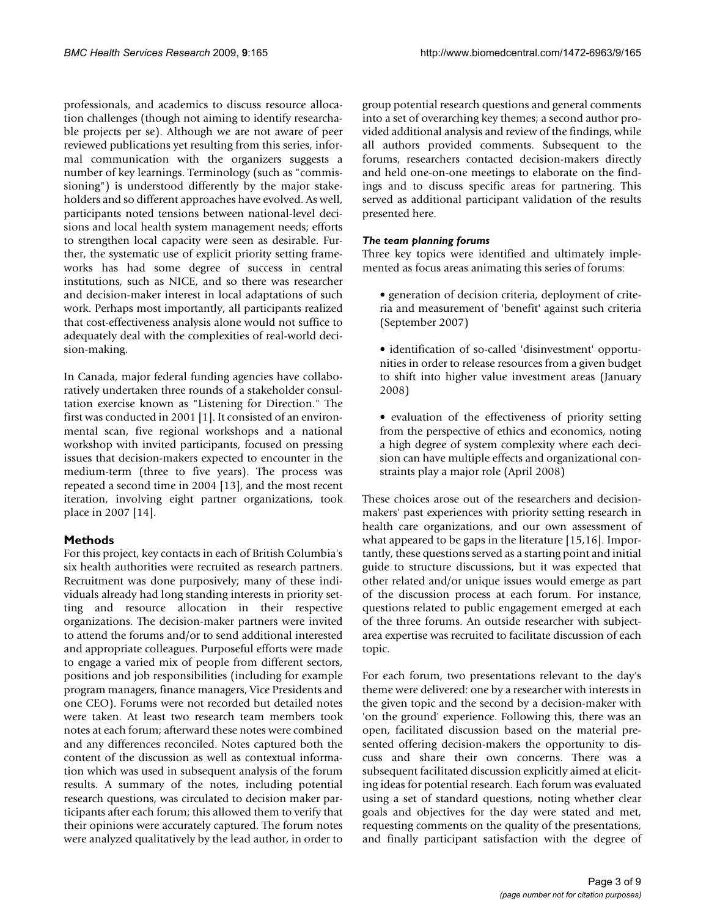professionals, and academics to discuss resource allocation challenges (though not aiming to identify researchable projects per se). Although we are not aware of peer reviewed publications yet resulting from this series, informal communication with the organizers suggests a number of key learnings. Terminology (such as "commissioning") is understood differently by the major stakeholders and so different approaches have evolved. As well, participants noted tensions between national-level decisions and local health system management needs; efforts to strengthen local capacity were seen as desirable. Further, the systematic use of explicit priority setting frameworks has had some degree of success in central institutions, such as NICE, and so there was researcher and decision-maker interest in local adaptations of such work. Perhaps most importantly, all participants realized that cost-effectiveness analysis alone would not suffice to adequately deal with the complexities of real-world decision-making.

In Canada, major federal funding agencies have collaboratively undertaken three rounds of a stakeholder consultation exercise known as "Listening for Direction." The first was conducted in 2001 [1]. It consisted of an environmental scan, five regional workshops and a national workshop with invited participants, focused on pressing issues that decision-makers expected to encounter in the medium-term (three to five years). The process was repeated a second time in 2004 [13], and the most recent iteration, involving eight partner organizations, took place in 2007 [14].

# **Methods**

For this project, key contacts in each of British Columbia's six health authorities were recruited as research partners. Recruitment was done purposively; many of these individuals already had long standing interests in priority setting and resource allocation in their respective organizations. The decision-maker partners were invited to attend the forums and/or to send additional interested and appropriate colleagues. Purposeful efforts were made to engage a varied mix of people from different sectors, positions and job responsibilities (including for example program managers, finance managers, Vice Presidents and one CEO). Forums were not recorded but detailed notes were taken. At least two research team members took notes at each forum; afterward these notes were combined and any differences reconciled. Notes captured both the content of the discussion as well as contextual information which was used in subsequent analysis of the forum results. A summary of the notes, including potential research questions, was circulated to decision maker participants after each forum; this allowed them to verify that their opinions were accurately captured. The forum notes were analyzed qualitatively by the lead author, in order to

group potential research questions and general comments into a set of overarching key themes; a second author provided additional analysis and review of the findings, while all authors provided comments. Subsequent to the forums, researchers contacted decision-makers directly and held one-on-one meetings to elaborate on the findings and to discuss specific areas for partnering. This served as additional participant validation of the results presented here.

### *The team planning forums*

Three key topics were identified and ultimately implemented as focus areas animating this series of forums:

- generation of decision criteria, deployment of criteria and measurement of 'benefit' against such criteria (September 2007)
- identification of so-called 'disinvestment' opportunities in order to release resources from a given budget to shift into higher value investment areas (January 2008)
- evaluation of the effectiveness of priority setting from the perspective of ethics and economics, noting a high degree of system complexity where each decision can have multiple effects and organizational constraints play a major role (April 2008)

These choices arose out of the researchers and decisionmakers' past experiences with priority setting research in health care organizations, and our own assessment of what appeared to be gaps in the literature [15,16]. Importantly, these questions served as a starting point and initial guide to structure discussions, but it was expected that other related and/or unique issues would emerge as part of the discussion process at each forum. For instance, questions related to public engagement emerged at each of the three forums. An outside researcher with subjectarea expertise was recruited to facilitate discussion of each topic.

For each forum, two presentations relevant to the day's theme were delivered: one by a researcher with interests in the given topic and the second by a decision-maker with 'on the ground' experience. Following this, there was an open, facilitated discussion based on the material presented offering decision-makers the opportunity to discuss and share their own concerns. There was a subsequent facilitated discussion explicitly aimed at eliciting ideas for potential research. Each forum was evaluated using a set of standard questions, noting whether clear goals and objectives for the day were stated and met, requesting comments on the quality of the presentations, and finally participant satisfaction with the degree of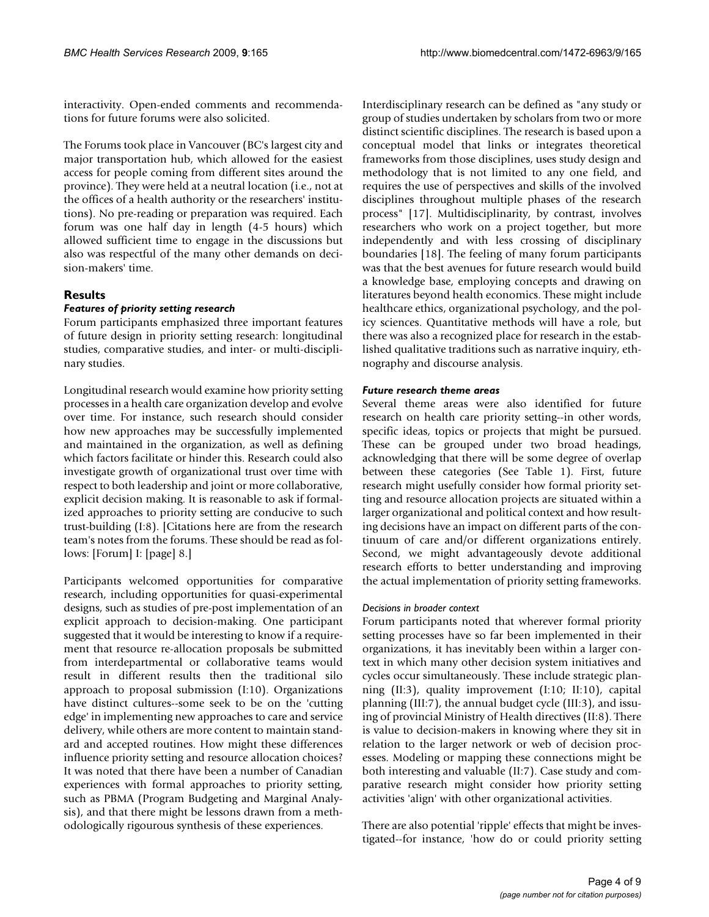interactivity. Open-ended comments and recommendations for future forums were also solicited.

The Forums took place in Vancouver (BC's largest city and major transportation hub, which allowed for the easiest access for people coming from different sites around the province). They were held at a neutral location (i.e., not at the offices of a health authority or the researchers' institutions). No pre-reading or preparation was required. Each forum was one half day in length (4-5 hours) which allowed sufficient time to engage in the discussions but also was respectful of the many other demands on decision-makers' time.

# **Results**

## *Features of priority setting research*

Forum participants emphasized three important features of future design in priority setting research: longitudinal studies, comparative studies, and inter- or multi-disciplinary studies.

Longitudinal research would examine how priority setting processes in a health care organization develop and evolve over time. For instance, such research should consider how new approaches may be successfully implemented and maintained in the organization, as well as defining which factors facilitate or hinder this. Research could also investigate growth of organizational trust over time with respect to both leadership and joint or more collaborative, explicit decision making. It is reasonable to ask if formalized approaches to priority setting are conducive to such trust-building (I:8). [Citations here are from the research team's notes from the forums. These should be read as follows: [Forum] I: [page] 8.]

Participants welcomed opportunities for comparative research, including opportunities for quasi-experimental designs, such as studies of pre-post implementation of an explicit approach to decision-making. One participant suggested that it would be interesting to know if a requirement that resource re-allocation proposals be submitted from interdepartmental or collaborative teams would result in different results then the traditional silo approach to proposal submission (I:10). Organizations have distinct cultures--some seek to be on the 'cutting edge' in implementing new approaches to care and service delivery, while others are more content to maintain standard and accepted routines. How might these differences influence priority setting and resource allocation choices? It was noted that there have been a number of Canadian experiences with formal approaches to priority setting, such as PBMA (Program Budgeting and Marginal Analysis), and that there might be lessons drawn from a methodologically rigourous synthesis of these experiences.

Interdisciplinary research can be defined as "any study or group of studies undertaken by scholars from two or more distinct scientific disciplines. The research is based upon a conceptual model that links or integrates theoretical frameworks from those disciplines, uses study design and methodology that is not limited to any one field, and requires the use of perspectives and skills of the involved disciplines throughout multiple phases of the research process" [17]. Multidisciplinarity, by contrast, involves researchers who work on a project together, but more independently and with less crossing of disciplinary boundaries [18]. The feeling of many forum participants was that the best avenues for future research would build a knowledge base, employing concepts and drawing on literatures beyond health economics. These might include healthcare ethics, organizational psychology, and the policy sciences. Quantitative methods will have a role, but there was also a recognized place for research in the established qualitative traditions such as narrative inquiry, ethnography and discourse analysis.

#### *Future research theme areas*

Several theme areas were also identified for future research on health care priority setting--in other words, specific ideas, topics or projects that might be pursued. These can be grouped under two broad headings, acknowledging that there will be some degree of overlap between these categories (See Table 1). First, future research might usefully consider how formal priority setting and resource allocation projects are situated within a larger organizational and political context and how resulting decisions have an impact on different parts of the continuum of care and/or different organizations entirely. Second, we might advantageously devote additional research efforts to better understanding and improving the actual implementation of priority setting frameworks.

#### *Decisions in broader context*

Forum participants noted that wherever formal priority setting processes have so far been implemented in their organizations, it has inevitably been within a larger context in which many other decision system initiatives and cycles occur simultaneously. These include strategic planning (II:3), quality improvement (I:10; II:10), capital planning (III:7), the annual budget cycle (III:3), and issuing of provincial Ministry of Health directives (II:8). There is value to decision-makers in knowing where they sit in relation to the larger network or web of decision processes. Modeling or mapping these connections might be both interesting and valuable (II:7). Case study and comparative research might consider how priority setting activities 'align' with other organizational activities.

There are also potential 'ripple' effects that might be investigated--for instance, 'how do or could priority setting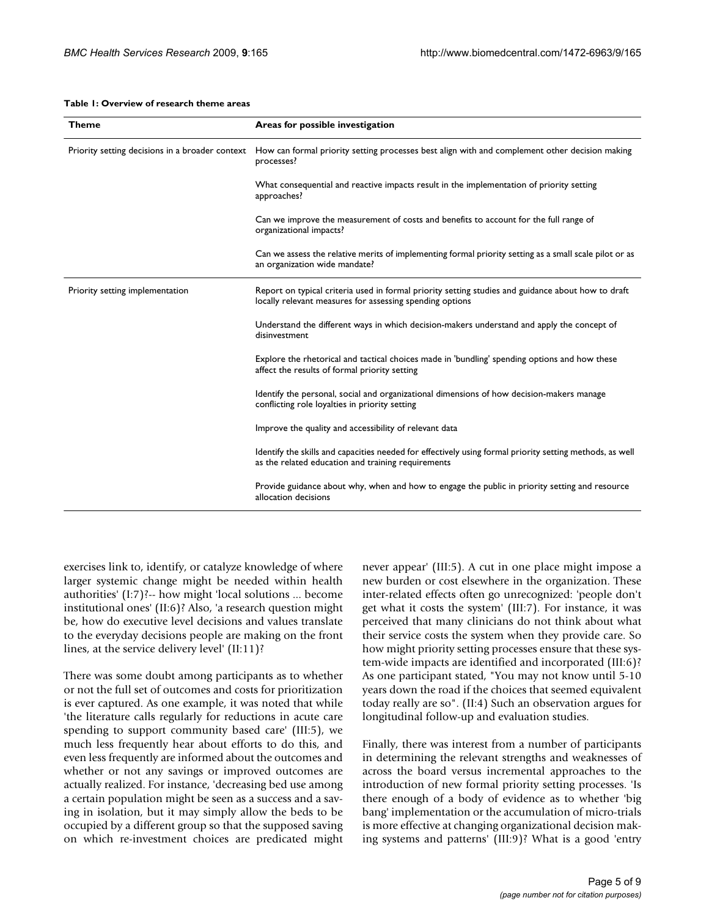#### **Table 1: Overview of research theme areas**

| <b>Theme</b>                                    | Areas for possible investigation                                                                                                                               |
|-------------------------------------------------|----------------------------------------------------------------------------------------------------------------------------------------------------------------|
| Priority setting decisions in a broader context | How can formal priority setting processes best align with and complement other decision making<br>processes?                                                   |
|                                                 | What consequential and reactive impacts result in the implementation of priority setting<br>approaches?                                                        |
|                                                 | Can we improve the measurement of costs and benefits to account for the full range of<br>organizational impacts?                                               |
|                                                 | Can we assess the relative merits of implementing formal priority setting as a small scale pilot or as<br>an organization wide mandate?                        |
| Priority setting implementation                 | Report on typical criteria used in formal priority setting studies and guidance about how to draft<br>locally relevant measures for assessing spending options |
|                                                 | Understand the different ways in which decision-makers understand and apply the concept of<br>disinvestment                                                    |
|                                                 | Explore the rhetorical and tactical choices made in 'bundling' spending options and how these<br>affect the results of formal priority setting                 |
|                                                 | Identify the personal, social and organizational dimensions of how decision-makers manage<br>conflicting role loyalties in priority setting                    |
|                                                 | Improve the quality and accessibility of relevant data                                                                                                         |
|                                                 | Identify the skills and capacities needed for effectively using formal priority setting methods, as well<br>as the related education and training requirements |
|                                                 | Provide guidance about why, when and how to engage the public in priority setting and resource<br>allocation decisions                                         |

exercises link to, identify, or catalyze knowledge of where larger systemic change might be needed within health authorities' (I:7)?-- how might 'local solutions ... become institutional ones' (II:6)? Also, 'a research question might be, how do executive level decisions and values translate to the everyday decisions people are making on the front lines, at the service delivery level' (II:11)?

There was some doubt among participants as to whether or not the full set of outcomes and costs for prioritization is ever captured. As one example, it was noted that while 'the literature calls regularly for reductions in acute care spending to support community based care' (III:5), we much less frequently hear about efforts to do this, and even less frequently are informed about the outcomes and whether or not any savings or improved outcomes are actually realized. For instance, 'decreasing bed use among a certain population might be seen as a success and a saving in isolation, but it may simply allow the beds to be occupied by a different group so that the supposed saving on which re-investment choices are predicated might never appear' (III:5). A cut in one place might impose a new burden or cost elsewhere in the organization. These inter-related effects often go unrecognized: 'people don't get what it costs the system' (III:7). For instance, it was perceived that many clinicians do not think about what their service costs the system when they provide care. So how might priority setting processes ensure that these system-wide impacts are identified and incorporated (III:6)? As one participant stated, "You may not know until 5-10 years down the road if the choices that seemed equivalent today really are so". (II:4) Such an observation argues for longitudinal follow-up and evaluation studies.

Finally, there was interest from a number of participants in determining the relevant strengths and weaknesses of across the board versus incremental approaches to the introduction of new formal priority setting processes. 'Is there enough of a body of evidence as to whether 'big bang' implementation or the accumulation of micro-trials is more effective at changing organizational decision making systems and patterns' (III:9)? What is a good 'entry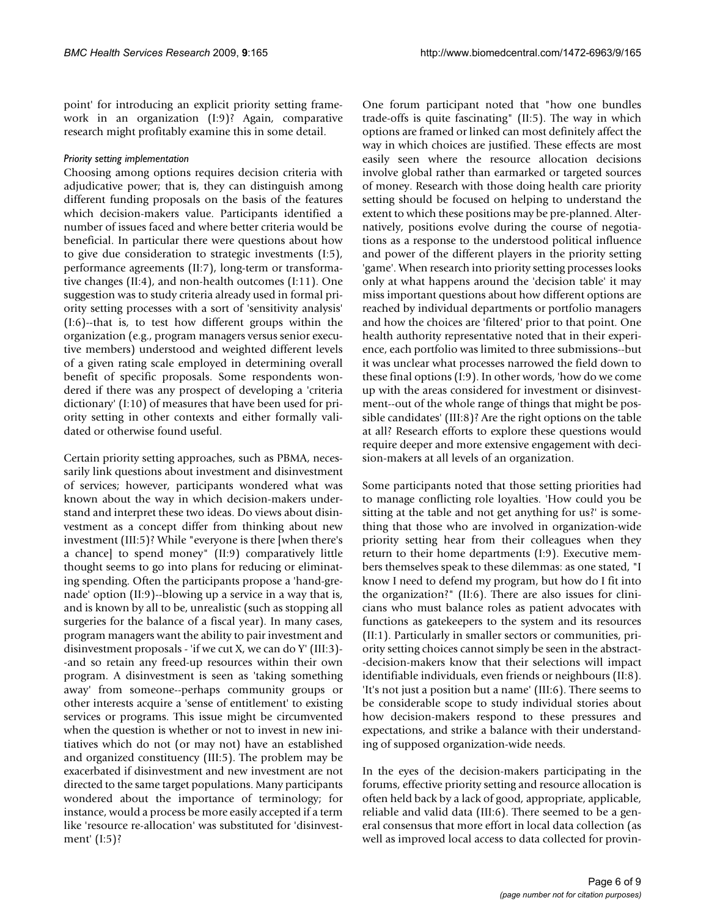point' for introducing an explicit priority setting framework in an organization (I:9)? Again, comparative research might profitably examine this in some detail.

#### *Priority setting implementation*

Choosing among options requires decision criteria with adjudicative power; that is, they can distinguish among different funding proposals on the basis of the features which decision-makers value. Participants identified a number of issues faced and where better criteria would be beneficial. In particular there were questions about how to give due consideration to strategic investments (I:5), performance agreements (II:7), long-term or transformative changes (II:4), and non-health outcomes (I:11). One suggestion was to study criteria already used in formal priority setting processes with a sort of 'sensitivity analysis' (I:6)--that is, to test how different groups within the organization (e.g., program managers versus senior executive members) understood and weighted different levels of a given rating scale employed in determining overall benefit of specific proposals. Some respondents wondered if there was any prospect of developing a 'criteria dictionary' (I:10) of measures that have been used for priority setting in other contexts and either formally validated or otherwise found useful.

Certain priority setting approaches, such as PBMA, necessarily link questions about investment and disinvestment of services; however, participants wondered what was known about the way in which decision-makers understand and interpret these two ideas. Do views about disinvestment as a concept differ from thinking about new investment (III:5)? While "everyone is there [when there's a chance] to spend money" (II:9) comparatively little thought seems to go into plans for reducing or eliminating spending. Often the participants propose a 'hand-grenade' option (II:9)--blowing up a service in a way that is, and is known by all to be, unrealistic (such as stopping all surgeries for the balance of a fiscal year). In many cases, program managers want the ability to pair investment and disinvestment proposals - 'if we cut X, we can do Y' (III:3)- -and so retain any freed-up resources within their own program. A disinvestment is seen as 'taking something away' from someone--perhaps community groups or other interests acquire a 'sense of entitlement' to existing services or programs. This issue might be circumvented when the question is whether or not to invest in new initiatives which do not (or may not) have an established and organized constituency (III:5). The problem may be exacerbated if disinvestment and new investment are not directed to the same target populations. Many participants wondered about the importance of terminology; for instance, would a process be more easily accepted if a term like 'resource re-allocation' was substituted for 'disinvestment' (I:5)?

One forum participant noted that "how one bundles trade-offs is quite fascinating" (II:5). The way in which options are framed or linked can most definitely affect the way in which choices are justified. These effects are most easily seen where the resource allocation decisions involve global rather than earmarked or targeted sources of money. Research with those doing health care priority setting should be focused on helping to understand the extent to which these positions may be pre-planned. Alternatively, positions evolve during the course of negotiations as a response to the understood political influence and power of the different players in the priority setting 'game'. When research into priority setting processes looks only at what happens around the 'decision table' it may miss important questions about how different options are reached by individual departments or portfolio managers and how the choices are 'filtered' prior to that point. One health authority representative noted that in their experience, each portfolio was limited to three submissions--but it was unclear what processes narrowed the field down to these final options (I:9). In other words, 'how do we come up with the areas considered for investment or disinvestment--out of the whole range of things that might be possible candidates' (III:8)? Are the right options on the table at all? Research efforts to explore these questions would require deeper and more extensive engagement with decision-makers at all levels of an organization.

Some participants noted that those setting priorities had to manage conflicting role loyalties. 'How could you be sitting at the table and not get anything for us?' is something that those who are involved in organization-wide priority setting hear from their colleagues when they return to their home departments (I:9). Executive members themselves speak to these dilemmas: as one stated, "I know I need to defend my program, but how do I fit into the organization?" (II:6). There are also issues for clinicians who must balance roles as patient advocates with functions as gatekeepers to the system and its resources (II:1). Particularly in smaller sectors or communities, priority setting choices cannot simply be seen in the abstract- -decision-makers know that their selections will impact identifiable individuals, even friends or neighbours (II:8). 'It's not just a position but a name' (III:6). There seems to be considerable scope to study individual stories about how decision-makers respond to these pressures and expectations, and strike a balance with their understanding of supposed organization-wide needs.

In the eyes of the decision-makers participating in the forums, effective priority setting and resource allocation is often held back by a lack of good, appropriate, applicable, reliable and valid data (III:6). There seemed to be a general consensus that more effort in local data collection (as well as improved local access to data collected for provin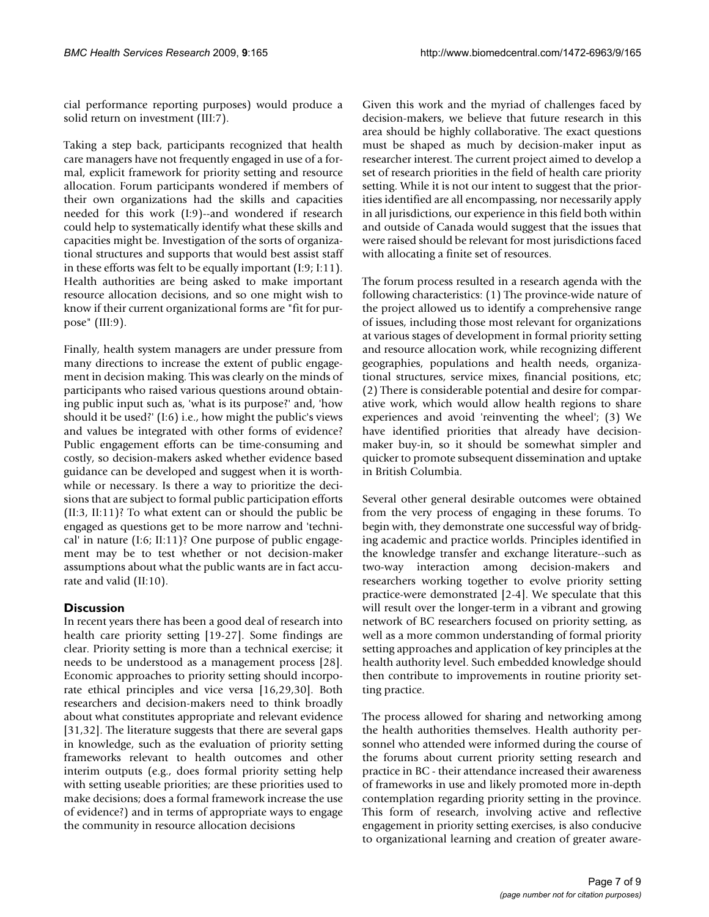cial performance reporting purposes) would produce a solid return on investment (III:7).

Taking a step back, participants recognized that health care managers have not frequently engaged in use of a formal, explicit framework for priority setting and resource allocation. Forum participants wondered if members of their own organizations had the skills and capacities needed for this work (I:9)--and wondered if research could help to systematically identify what these skills and capacities might be. Investigation of the sorts of organizational structures and supports that would best assist staff in these efforts was felt to be equally important (I:9; I:11). Health authorities are being asked to make important resource allocation decisions, and so one might wish to know if their current organizational forms are "fit for purpose" (III:9).

Finally, health system managers are under pressure from many directions to increase the extent of public engagement in decision making. This was clearly on the minds of participants who raised various questions around obtaining public input such as, 'what is its purpose?' and, 'how should it be used?' (I:6) i.e., how might the public's views and values be integrated with other forms of evidence? Public engagement efforts can be time-consuming and costly, so decision-makers asked whether evidence based guidance can be developed and suggest when it is worthwhile or necessary. Is there a way to prioritize the decisions that are subject to formal public participation efforts (II:3, II:11)? To what extent can or should the public be engaged as questions get to be more narrow and 'technical' in nature (I:6; II:11)? One purpose of public engagement may be to test whether or not decision-maker assumptions about what the public wants are in fact accurate and valid (II:10).

# **Discussion**

In recent years there has been a good deal of research into health care priority setting [19-27]. Some findings are clear. Priority setting is more than a technical exercise; it needs to be understood as a management process [28]. Economic approaches to priority setting should incorporate ethical principles and vice versa [16,29,30]. Both researchers and decision-makers need to think broadly about what constitutes appropriate and relevant evidence [31,32]. The literature suggests that there are several gaps in knowledge, such as the evaluation of priority setting frameworks relevant to health outcomes and other interim outputs (e.g., does formal priority setting help with setting useable priorities; are these priorities used to make decisions; does a formal framework increase the use of evidence?) and in terms of appropriate ways to engage the community in resource allocation decisions

Given this work and the myriad of challenges faced by decision-makers, we believe that future research in this area should be highly collaborative. The exact questions must be shaped as much by decision-maker input as researcher interest. The current project aimed to develop a set of research priorities in the field of health care priority setting. While it is not our intent to suggest that the priorities identified are all encompassing, nor necessarily apply in all jurisdictions, our experience in this field both within and outside of Canada would suggest that the issues that were raised should be relevant for most jurisdictions faced with allocating a finite set of resources.

The forum process resulted in a research agenda with the following characteristics: (1) The province-wide nature of the project allowed us to identify a comprehensive range of issues, including those most relevant for organizations at various stages of development in formal priority setting and resource allocation work, while recognizing different geographies, populations and health needs, organizational structures, service mixes, financial positions, etc; (2) There is considerable potential and desire for comparative work, which would allow health regions to share experiences and avoid 'reinventing the wheel'; (3) We have identified priorities that already have decisionmaker buy-in, so it should be somewhat simpler and quicker to promote subsequent dissemination and uptake in British Columbia.

Several other general desirable outcomes were obtained from the very process of engaging in these forums. To begin with, they demonstrate one successful way of bridging academic and practice worlds. Principles identified in the knowledge transfer and exchange literature--such as two-way interaction among decision-makers and researchers working together to evolve priority setting practice-were demonstrated [2-4]. We speculate that this will result over the longer-term in a vibrant and growing network of BC researchers focused on priority setting, as well as a more common understanding of formal priority setting approaches and application of key principles at the health authority level. Such embedded knowledge should then contribute to improvements in routine priority setting practice.

The process allowed for sharing and networking among the health authorities themselves. Health authority personnel who attended were informed during the course of the forums about current priority setting research and practice in BC - their attendance increased their awareness of frameworks in use and likely promoted more in-depth contemplation regarding priority setting in the province. This form of research, involving active and reflective engagement in priority setting exercises, is also conducive to organizational learning and creation of greater aware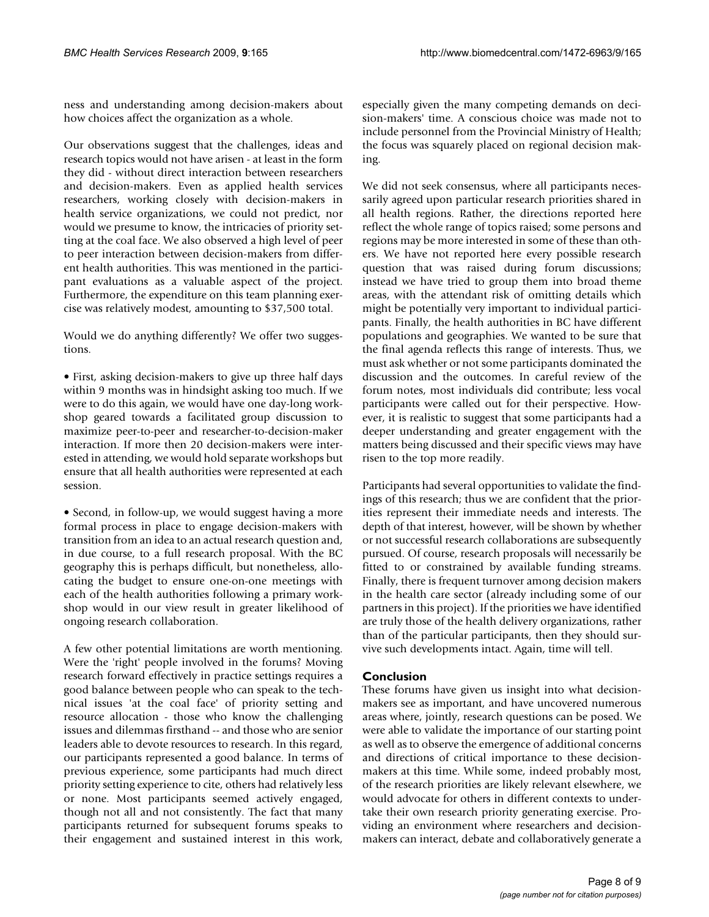ness and understanding among decision-makers about how choices affect the organization as a whole.

Our observations suggest that the challenges, ideas and research topics would not have arisen - at least in the form they did - without direct interaction between researchers and decision-makers. Even as applied health services researchers, working closely with decision-makers in health service organizations, we could not predict, nor would we presume to know, the intricacies of priority setting at the coal face. We also observed a high level of peer to peer interaction between decision-makers from different health authorities. This was mentioned in the participant evaluations as a valuable aspect of the project. Furthermore, the expenditure on this team planning exercise was relatively modest, amounting to \$37,500 total.

Would we do anything differently? We offer two suggestions.

• First, asking decision-makers to give up three half days within 9 months was in hindsight asking too much. If we were to do this again, we would have one day-long workshop geared towards a facilitated group discussion to maximize peer-to-peer and researcher-to-decision-maker interaction. If more then 20 decision-makers were interested in attending, we would hold separate workshops but ensure that all health authorities were represented at each session.

• Second, in follow-up, we would suggest having a more formal process in place to engage decision-makers with transition from an idea to an actual research question and, in due course, to a full research proposal. With the BC geography this is perhaps difficult, but nonetheless, allocating the budget to ensure one-on-one meetings with each of the health authorities following a primary workshop would in our view result in greater likelihood of ongoing research collaboration.

A few other potential limitations are worth mentioning. Were the 'right' people involved in the forums? Moving research forward effectively in practice settings requires a good balance between people who can speak to the technical issues 'at the coal face' of priority setting and resource allocation - those who know the challenging issues and dilemmas firsthand -- and those who are senior leaders able to devote resources to research. In this regard, our participants represented a good balance. In terms of previous experience, some participants had much direct priority setting experience to cite, others had relatively less or none. Most participants seemed actively engaged, though not all and not consistently. The fact that many participants returned for subsequent forums speaks to their engagement and sustained interest in this work,

especially given the many competing demands on decision-makers' time. A conscious choice was made not to include personnel from the Provincial Ministry of Health; the focus was squarely placed on regional decision making.

We did not seek consensus, where all participants necessarily agreed upon particular research priorities shared in all health regions. Rather, the directions reported here reflect the whole range of topics raised; some persons and regions may be more interested in some of these than others. We have not reported here every possible research question that was raised during forum discussions; instead we have tried to group them into broad theme areas, with the attendant risk of omitting details which might be potentially very important to individual participants. Finally, the health authorities in BC have different populations and geographies. We wanted to be sure that the final agenda reflects this range of interests. Thus, we must ask whether or not some participants dominated the discussion and the outcomes. In careful review of the forum notes, most individuals did contribute; less vocal participants were called out for their perspective. However, it is realistic to suggest that some participants had a deeper understanding and greater engagement with the matters being discussed and their specific views may have risen to the top more readily.

Participants had several opportunities to validate the findings of this research; thus we are confident that the priorities represent their immediate needs and interests. The depth of that interest, however, will be shown by whether or not successful research collaborations are subsequently pursued. Of course, research proposals will necessarily be fitted to or constrained by available funding streams. Finally, there is frequent turnover among decision makers in the health care sector (already including some of our partners in this project). If the priorities we have identified are truly those of the health delivery organizations, rather than of the particular participants, then they should survive such developments intact. Again, time will tell.

### **Conclusion**

These forums have given us insight into what decisionmakers see as important, and have uncovered numerous areas where, jointly, research questions can be posed. We were able to validate the importance of our starting point as well as to observe the emergence of additional concerns and directions of critical importance to these decisionmakers at this time. While some, indeed probably most, of the research priorities are likely relevant elsewhere, we would advocate for others in different contexts to undertake their own research priority generating exercise. Providing an environment where researchers and decisionmakers can interact, debate and collaboratively generate a